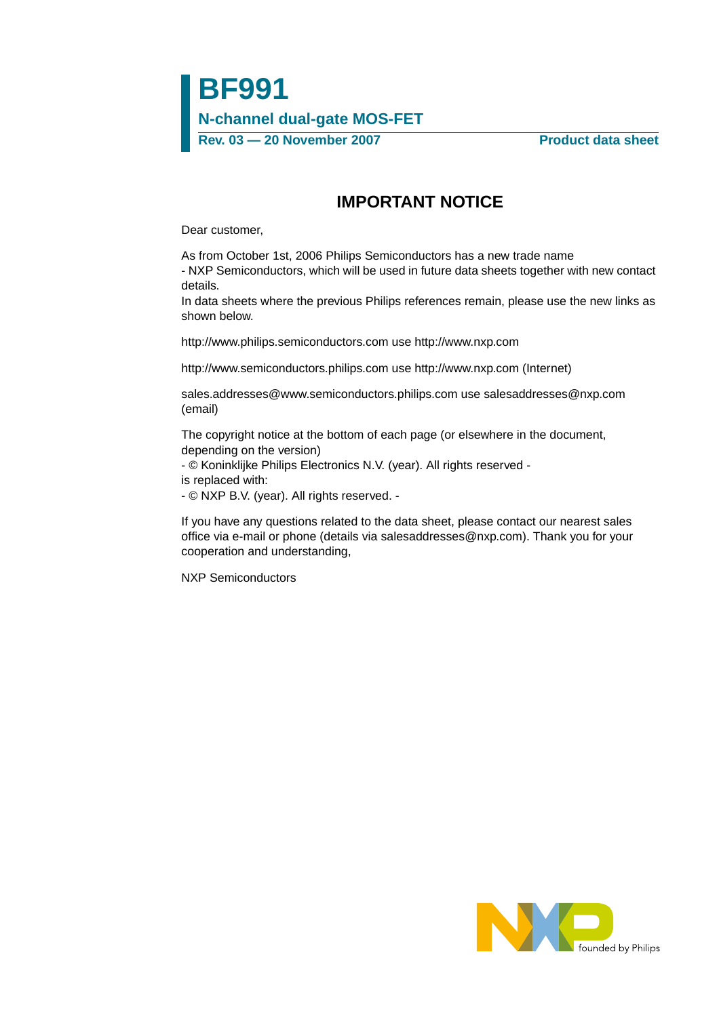## **IMPORTANT NOTICE**

Dear customer,

As from October 1st, 2006 Philips Semiconductors has a new trade name - NXP Semiconductors, which will be used in future data sheets together with new contact details.

In data sheets where the previous Philips references remain, please use the new links as shown below.

http://www.philips.semiconductors.com use http://www.nxp.com

http://www.semiconductors.philips.com use http://www.nxp.com (Internet)

sales.addresses@www.semiconductors.philips.com use salesaddresses@nxp.com (email)

The copyright notice at the bottom of each page (or elsewhere in the document, depending on the version)

- © Koninklijke Philips Electronics N.V. (year). All rights reserved -

is replaced with:

- © NXP B.V. (year). All rights reserved. -

If you have any questions related to the data sheet, please contact our nearest sales office via e-mail or phone (details via salesaddresses@nxp.com). Thank you for your cooperation and understanding,

NXP Semiconductors

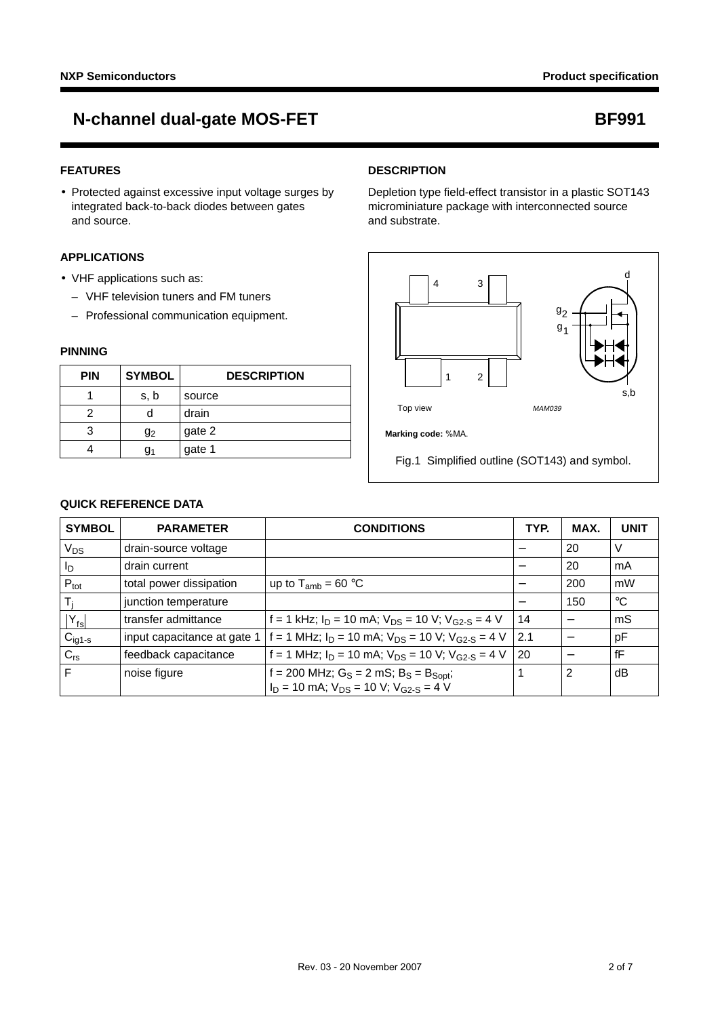#### **FEATURES**

• Protected against excessive input voltage surges by integrated back-to-back diodes between gates and source.

#### **APPLICATIONS**

- VHF applications such as:
	- VHF television tuners and FM tuners
	- Professional communication equipment.

#### **PINNING**

| <b>PIN</b> | <b>SYMBOL</b>  | <b>DESCRIPTION</b> |  |  |
|------------|----------------|--------------------|--|--|
|            | s, b           | source             |  |  |
|            |                | drain              |  |  |
|            | g <sub>2</sub> | gate 2             |  |  |
|            |                | gate 1             |  |  |

#### **DESCRIPTION**

Depletion type field-effect transistor in a plastic SOT143 microminiature package with interconnected source and substrate.



Fig.1 Simplified outline (SOT143) and symbol.

#### **QUICK REFERENCE DATA**

| <b>SYMBOL</b>    | <b>PARAMETER</b>            | <b>CONDITIONS</b>                                                                                   | TYP. | MAX. | <b>UNIT</b> |
|------------------|-----------------------------|-----------------------------------------------------------------------------------------------------|------|------|-------------|
| V <sub>DS</sub>  | drain-source voltage        |                                                                                                     |      | 20   | V           |
| ΙD               | drain current               |                                                                                                     |      | 20   | mA          |
| $P_{\text{tot}}$ | total power dissipation     | up to $T_{amb}$ = 60 °C                                                                             |      | 200  | mW          |
| T,               | junction temperature        |                                                                                                     |      | 150  | $^{\circ}C$ |
| $ Y_{fs} $       | transfer admittance         | f = 1 kHz; $I_D$ = 10 mA; $V_{DS}$ = 10 V; $V_{G2-S}$ = 4 V                                         | 14   |      | mS          |
| $C_{ig1-s}$      | input capacitance at gate 1 | f = 1 MHz; $I_D$ = 10 mA; $V_{DS}$ = 10 V; $V_{G2-S}$ = 4 V                                         | 2.1  |      | pF          |
| $C_{rs}$         | feedback capacitance        | f = 1 MHz; $I_D$ = 10 mA; $V_{DS}$ = 10 V; $V_{G2-S}$ = 4 V                                         | 20   | —    | fF          |
| F                | noise figure                | $f = 200$ MHz; $G_S = 2$ mS; $B_S = B_{Sopt}$ ;<br>$I_D = 10$ mA; $V_{DS} = 10$ V; $V_{G2-S} = 4$ V |      | 2    | dВ          |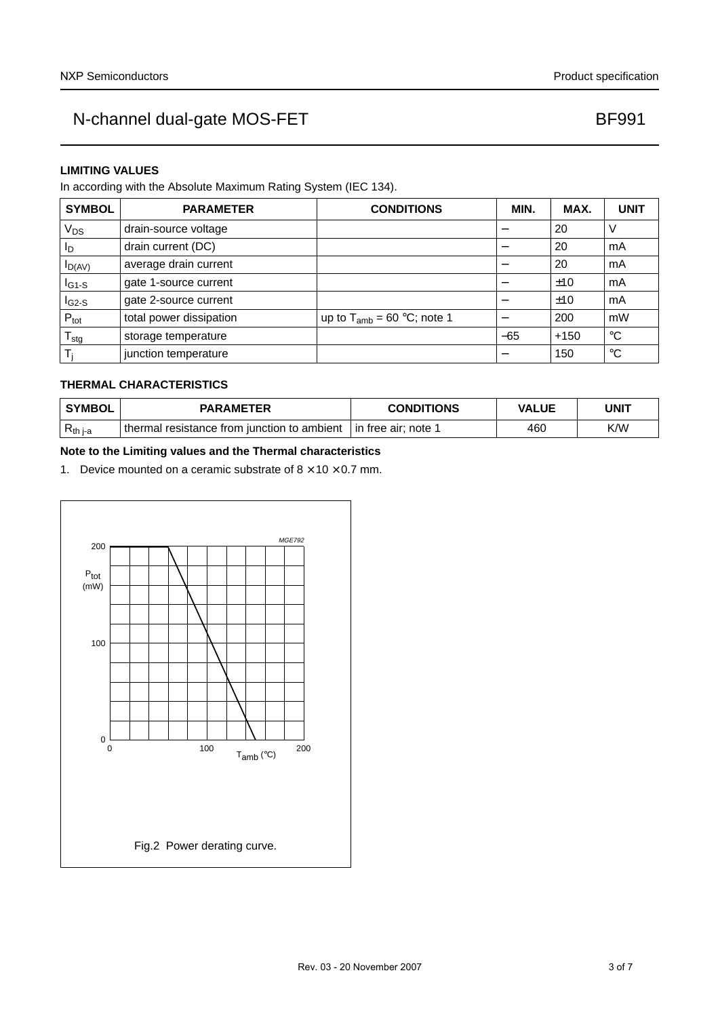### **LIMITING VALUES**

In according with the Absolute Maximum Rating System (IEC 134).

| <b>SYMBOL</b>              | <b>PARAMETER</b>        | <b>CONDITIONS</b>               | MIN.  | MAX.   | <b>UNIT</b> |
|----------------------------|-------------------------|---------------------------------|-------|--------|-------------|
| $V_{DS}$                   | drain-source voltage    |                                 |       | 20     |             |
| ΙD                         | drain current (DC)      |                                 |       | 20     | mA          |
| $I_{D(AV)}$                | average drain current   |                                 |       | 20     | mA          |
| $I_{G1-S}$                 | gate 1-source current   |                                 |       | ±10    | mA          |
| $IG2-S$                    | gate 2-source current   |                                 |       | ±10    | mA          |
| $P_{\text{tot}}$           | total power dissipation | up to $T_{amb}$ = 60 °C; note 1 |       | 200    | mW          |
| ${\mathsf T}_{\text{stg}}$ | storage temperature     |                                 | $-65$ | $+150$ | °C          |
|                            | junction temperature    |                                 |       | 150    | °C          |

### **THERMAL CHARACTERISTICS**

| <b>SYMBOL</b> | <b>PARAMETER</b>                            | <b>CONDITIONS</b>     | VALUE | UNIT |  |
|---------------|---------------------------------------------|-----------------------|-------|------|--|
| $R_{th i-a}$  | thermal resistance from junction to ambient | l in free air; note 1 | 460   | K/W  |  |

#### **Note to the Limiting values and the Thermal characteristics**

1. Device mounted on a ceramic substrate of  $8 \times 10 \times 0.7$  mm.

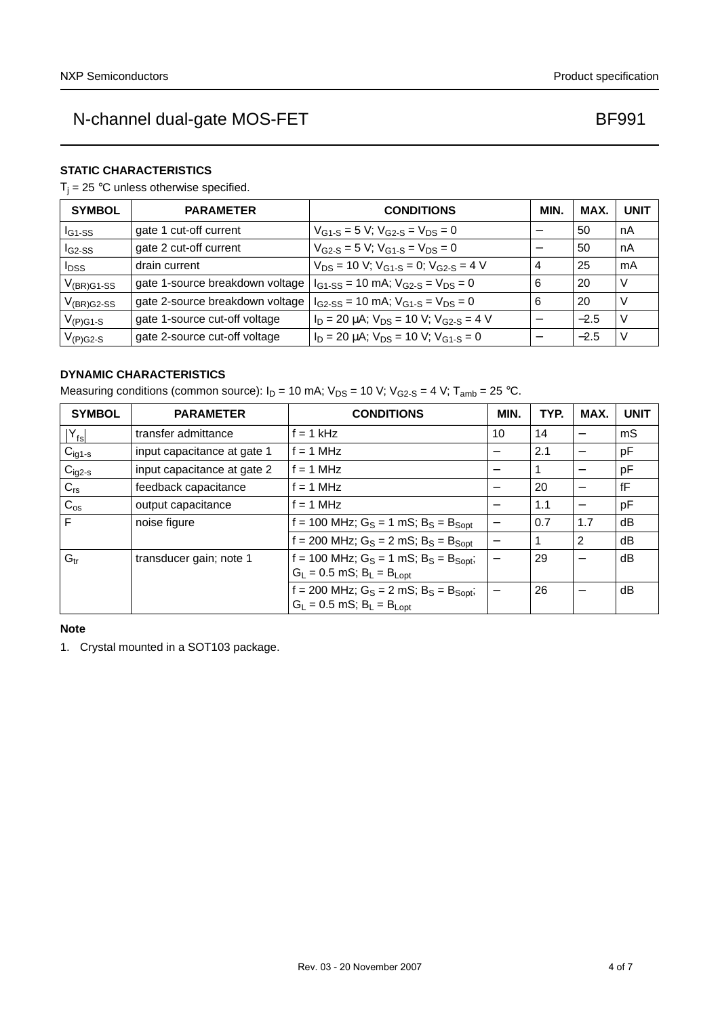#### **STATIC CHARACTERISTICS**

 $T_i = 25$  °C unless otherwise specified.

| <b>SYMBOL</b>           | <b>PARAMETER</b>                | <b>CONDITIONS</b>                                     | MIN. | MAX.   | <b>UNIT</b> |
|-------------------------|---------------------------------|-------------------------------------------------------|------|--------|-------------|
| $I_{G1-SS}$             | gate 1 cut-off current          | $V_{G1-S}$ = 5 V; $V_{G2-S}$ = $V_{DS}$ = 0           |      | 50     | nA          |
| $IG2-SS$                | gate 2 cut-off current          | $V_{G2-S}$ = 5 V; $V_{G1-S}$ = $V_{DS}$ = 0           |      | 50     | nA          |
| <b>I</b> <sub>DSS</sub> | drain current                   | $V_{DS}$ = 10 V; $V_{G1-S}$ = 0; $V_{G2-S}$ = 4 V     | 4    | 25     | mA          |
| $V_{(BR)G1-SS}$         | gate 1-source breakdown voltage | $I_{G1-SS}$ = 10 mA; $V_{G2-S}$ = $V_{DS}$ = 0        | 6    | 20     | V           |
| $V_{(BR)G2-SS}$         | gate 2-source breakdown voltage | $I_{G2-SS}$ = 10 mA; $V_{G1-S}$ = $V_{DS}$ = 0        | 6    | 20     | V           |
| $V_{(P)G1-S}$           | gate 1-source cut-off voltage   | $I_D = 20 \mu A$ ; $V_{DS} = 10 V$ ; $V_{G2-S} = 4 V$ |      | $-2.5$ | N           |
| $V_{(P)G2-S}$           | gate 2-source cut-off voltage   | $I_D = 20 \mu A$ ; $V_{DS} = 10 V$ ; $V_{G1-S} = 0$   | –    | $-2.5$ | V           |

### **DYNAMIC CHARACTERISTICS**

Measuring conditions (common source):  $I_D = 10$  mA;  $V_{DS} = 10$  V;  $V_{G2-S} = 4$  V;  $T_{amb} = 25$  °C.

| <b>SYMBOL</b>      | <b>PARAMETER</b>            | <b>CONDITIONS</b>                                                                 | MIN.                     | TYP. | MAX. | <b>UNIT</b> |
|--------------------|-----------------------------|-----------------------------------------------------------------------------------|--------------------------|------|------|-------------|
| $ Y_{fs} $         | transfer admittance         | $f = 1$ kHz                                                                       | 10                       | 14   |      | mS          |
| $C_{\text{ig1-s}}$ | input capacitance at gate 1 | $f = 1$ MHz                                                                       | $\qquad \qquad$          | 2.1  |      | pF          |
| $C_{ig2-s}$        | input capacitance at gate 2 | $f = 1$ MHz                                                                       | —                        |      |      | pF          |
| $C_{rs}$           | feedback capacitance        | $f = 1$ MHz                                                                       |                          | 20   |      | fF          |
| $C_{os}$           | output capacitance          | $f = 1$ MHz                                                                       | $\overline{\phantom{m}}$ | 1.1  |      | pF          |
| F                  | noise figure                | f = 100 MHz; $G_S = 1$ mS; $B_S = B_{Sopt}$                                       | $\overline{\phantom{m}}$ | 0.7  | 1.7  | dB          |
|                    |                             | $f = 200$ MHz; $G_S = 2$ mS; $B_S = B_{Sopt}$                                     | —                        |      | 2    | dB          |
| G <sub>tr</sub>    | transducer gain; note 1     | f = 100 MHz; $G_S = 1$ mS; $B_S = B_{Sopt}$ ;<br>$G_L = 0.5$ mS; $B_L = B_{Lopt}$ |                          | 29   |      | dB          |
|                    |                             |                                                                                   |                          |      |      |             |
|                    |                             | $f = 200$ MHz; $G_S = 2$ mS; $B_S = B_{Sopt}$ ;                                   | $\overline{\phantom{0}}$ | 26   |      | dB          |
|                    |                             | $G_L = 0.5$ mS; $B_L = B_{Lopt}$                                                  |                          |      |      |             |

#### **Note**

1. Crystal mounted in a SOT103 package.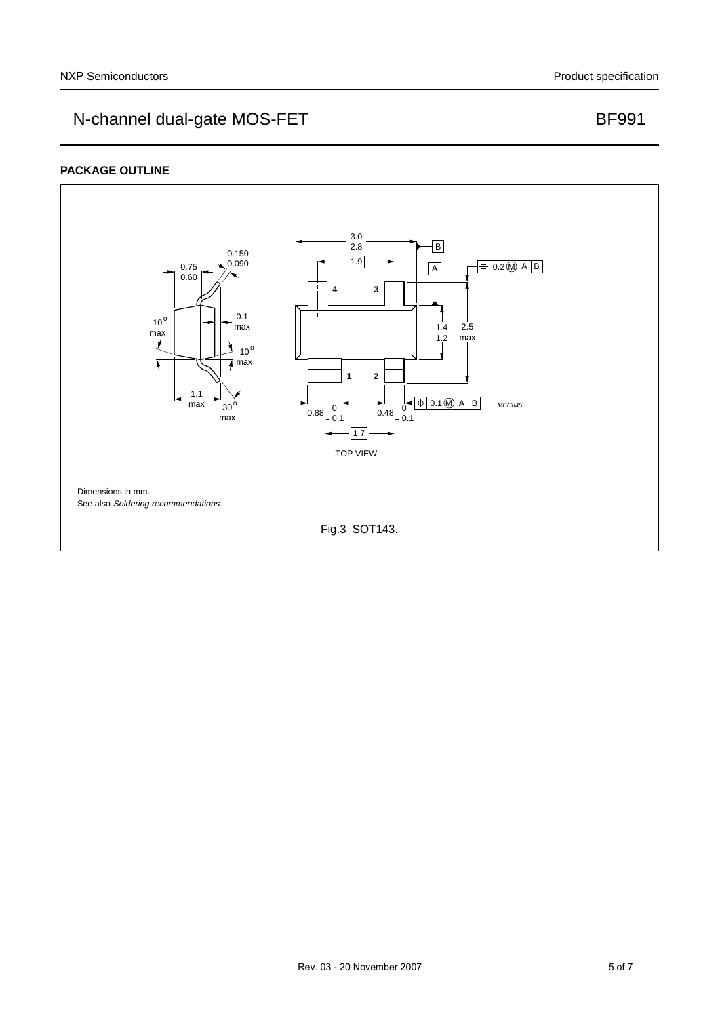#### **PACKAGE OUTLINE**

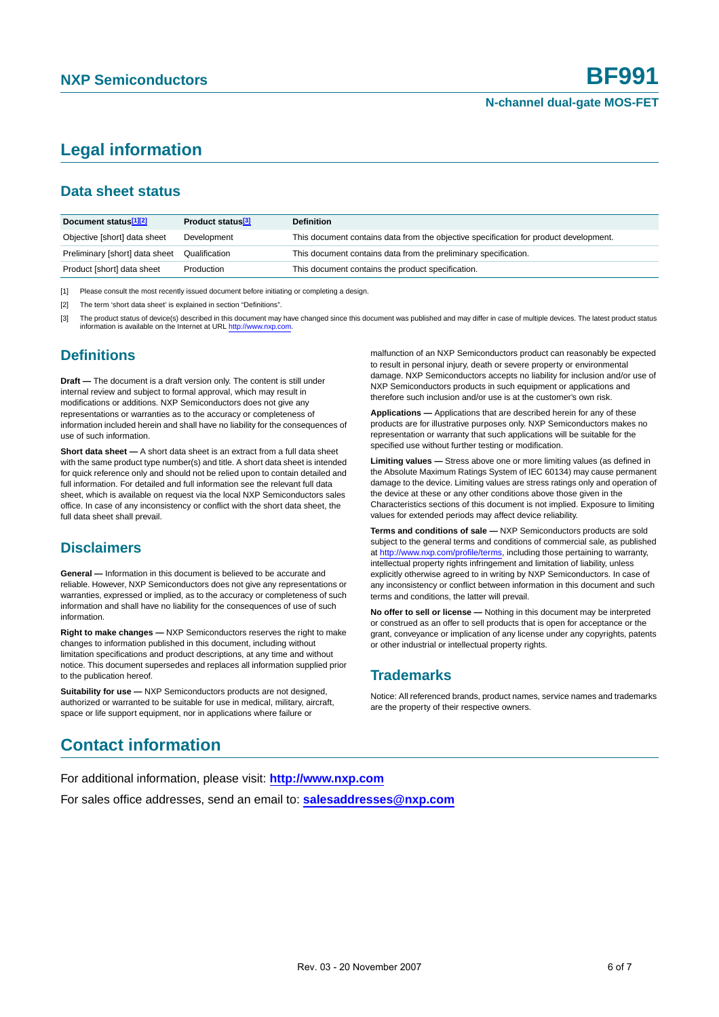## **Legal information**

## **Data sheet status**

| Document status <sup>[1][2]</sup> | Product status <sup>[3]</sup> | <b>Definition</b>                                                                     |
|-----------------------------------|-------------------------------|---------------------------------------------------------------------------------------|
| Objective [short] data sheet      | Development                   | This document contains data from the objective specification for product development. |
| Preliminary [short] data sheet    | Qualification                 | This document contains data from the preliminary specification.                       |
| Product [short] data sheet        | Production                    | This document contains the product specification.                                     |

[1] Please consult the most recently issued document before initiating or completing a design.

[2] The term 'short data sheet' is explained in section "Definitions".

The product status of device(s) described in this document may have changed since this document was published and may differ in case of multiple devices. The latest product status information is available on the Internet at URL http://www.nxp.com.

## **Definitions**

**Draft —** The document is a draft version only. The content is still under internal review and subject to formal approval, which may result in modifications or additions. NXP Semiconductors does not give any representations or warranties as to the accuracy or completeness of information included herein and shall have no liability for the consequences of use of such information.

**Short data sheet —** A short data sheet is an extract from a full data sheet with the same product type number(s) and title. A short data sheet is intended for quick reference only and should not be relied upon to contain detailed and full information. For detailed and full information see the relevant full data sheet, which is available on request via the local NXP Semiconductors sales office. In case of any inconsistency or conflict with the short data sheet, the full data sheet shall prevail.

## **Disclaimers**

**General —** Information in this document is believed to be accurate and reliable. However, NXP Semiconductors does not give any representations or warranties, expressed or implied, as to the accuracy or completeness of such information and shall have no liability for the consequences of use of such information.

**Right to make changes —** NXP Semiconductors reserves the right to make changes to information published in this document, including without limitation specifications and product descriptions, at any time and without notice. This document supersedes and replaces all information supplied prior to the publication hereof.

**Suitability for use - NXP** Semiconductors products are not designed, authorized or warranted to be suitable for use in medical, military, aircraft, space or life support equipment, nor in applications where failure or

malfunction of an NXP Semiconductors product can reasonably be expected to result in personal injury, death or severe property or environmental damage. NXP Semiconductors accepts no liability for inclusion and/or use of NXP Semiconductors products in such equipment or applications and therefore such inclusion and/or use is at the customer's own risk.

**Applications —** Applications that are described herein for any of these products are for illustrative purposes only. NXP Semiconductors makes no representation or warranty that such applications will be suitable for the specified use without further testing or modification.

**Limiting values —** Stress above one or more limiting values (as defined in the Absolute Maximum Ratings System of IEC 60134) may cause permanent damage to the device. Limiting values are stress ratings only and operation of the device at these or any other conditions above those given in the Characteristics sections of this document is not implied. Exposure to limiting values for extended periods may affect device reliability.

**Terms and conditions of sale —** NXP Semiconductors products are sold subject to the general terms and conditions of commercial sale, as published at http://www.nxp.com/profile/terms, including those pertaining to warranty, intellectual property rights infringement and limitation of liability, unless explicitly otherwise agreed to in writing by NXP Semiconductors. In case of any inconsistency or conflict between information in this document and such terms and conditions, the latter will prevail.

**No offer to sell or license —** Nothing in this document may be interpreted or construed as an offer to sell products that is open for acceptance or the grant, conveyance or implication of any license under any copyrights, patents or other industrial or intellectual property rights.

## **Trademarks**

Notice: All referenced brands, product names, service names and trademarks are the property of their respective owners.

## **Contact information**

For additional information, please visit: **http://www.nxp.com** For sales office addresses, send an email to: **salesaddresses@nxp.com**